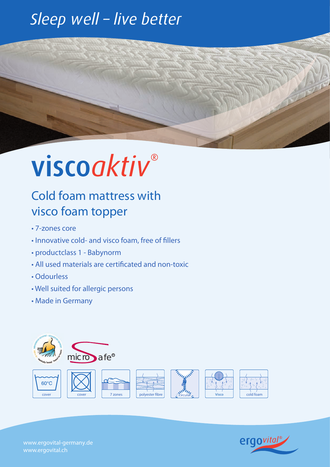### Sleep well - live better

# viscoaktiv®

#### Cold foam mattress with visco foam topper

- 7-zones core
- Innovative cold- and visco foam, free of fillers
- productclass 1 Babynorm
- All used materials are certificated and non-toxic
- Odourless
- Well suited for allergic persons
- Made in Germany